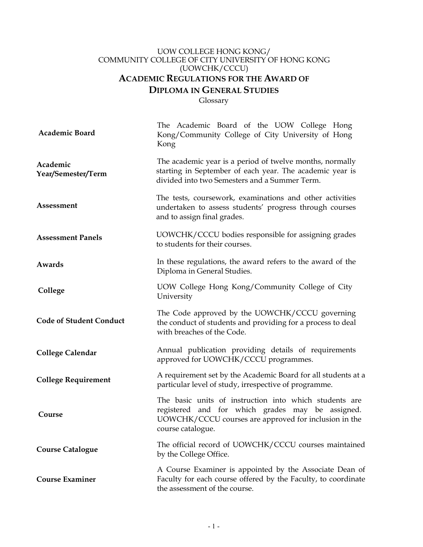# UOW COLLEGE HONG KONG/ COMMUNITY COLLEGE OF CITY UNIVERSITY OF HONG KONG (UOWCHK/CCCU) **ACADEMIC REGULATIONS FOR THE AWARD OF DIPLOMA IN GENERAL STUDIES**

Glossary

| Academic Board                 | The Academic Board of the UOW College Hong<br>Kong/Community College of City University of Hong<br>Kong                                                                                  |
|--------------------------------|------------------------------------------------------------------------------------------------------------------------------------------------------------------------------------------|
| Academic<br>Year/Semester/Term | The academic year is a period of twelve months, normally<br>starting in September of each year. The academic year is<br>divided into two Semesters and a Summer Term.                    |
| Assessment                     | The tests, coursework, examinations and other activities<br>undertaken to assess students' progress through courses<br>and to assign final grades.                                       |
| <b>Assessment Panels</b>       | UOWCHK/CCCU bodies responsible for assigning grades<br>to students for their courses.                                                                                                    |
| Awards                         | In these regulations, the award refers to the award of the<br>Diploma in General Studies.                                                                                                |
| College                        | UOW College Hong Kong/Community College of City<br>University                                                                                                                            |
| <b>Code of Student Conduct</b> | The Code approved by the UOWCHK/CCCU governing<br>the conduct of students and providing for a process to deal<br>with breaches of the Code.                                              |
| <b>College Calendar</b>        | Annual publication providing details of requirements<br>approved for UOWCHK/CCCU programmes.                                                                                             |
| <b>College Requirement</b>     | A requirement set by the Academic Board for all students at a<br>particular level of study, irrespective of programme.                                                                   |
| Course                         | The basic units of instruction into which students are<br>registered and for which grades may be assigned.<br>UOWCHK/CCCU courses are approved for inclusion in the<br>course catalogue. |
| <b>Course Catalogue</b>        | The official record of UOWCHK/CCCU courses maintained<br>by the College Office.                                                                                                          |
| <b>Course Examiner</b>         | A Course Examiner is appointed by the Associate Dean of<br>Faculty for each course offered by the Faculty, to coordinate<br>the assessment of the course.                                |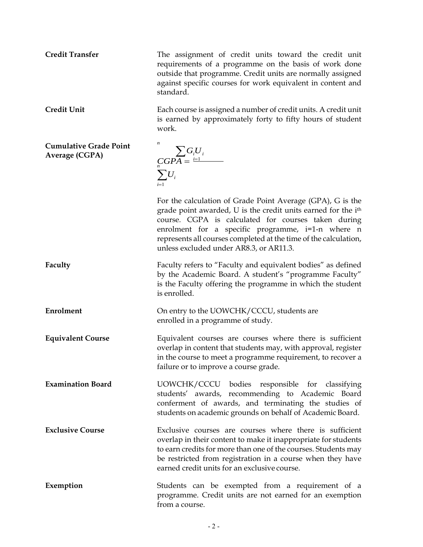**Credit Transfer** The assignment of credit units toward the credit unit requirements of a programme on the basis of work done outside that programme. Credit units are normally assigned against specific courses for work equivalent in content and standard.

**Credit Unit** Each course is assigned a number of credit units. A credit unit is earned by approximately forty to fifty hours of student work.

**Cumulative Grade Point Average (CGPA)**

*n*  $\sum G_i U_i$  $\binom{CGP}{n} = \frac{i=1}{n}$  $\sum U_i$  $i=1$ 

For the calculation of Grade Point Average (GPA), G is the grade point awarded, U is the credit units earned for the ith course. CGPA is calculated for courses taken during enrolment for a specific programme, i=1-n where n represents all courses completed at the time of the calculation, unless excluded under AR8.3, or AR11.3.

**Faculty** Faculty refers to "Faculty and equivalent bodies" as defined by the Academic Board. A student's "programme Faculty" is the Faculty offering the programme in which the student is enrolled.

**Enrolment CON** On entry to the UOWCHK/CCCU, students are enrolled in a programme of study.

**Equivalent Course** Equivalent courses are courses where there is sufficient overlap in content that students may, with approval, register in the course to meet a programme requirement, to recover a failure or to improve a course grade.

**Examination Board** UOWCHK/CCCU bodies responsible for classifying students' awards, recommending to Academic Board conferment of awards, and terminating the studies of students on academic grounds on behalf of Academic Board.

**Exclusive Course** Exclusive courses are courses where there is sufficient overlap in their content to make it inappropriate for students to earn credits for more than one of the courses. Students may be restricted from registration in a course when they have earned credit units for an exclusive course.

**Exemption** Students can be exempted from a requirement of a programme. Credit units are not earned for an exemption from a course.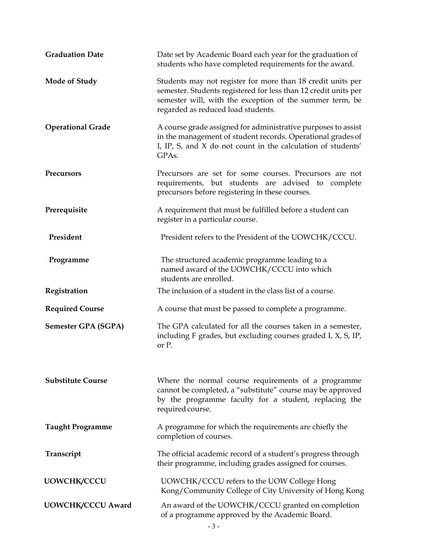| <b>Graduation Date</b>     | Date set by Academic Board each year for the graduation of<br>students who have completed requirements for the award.                                                                                                            |  |
|----------------------------|----------------------------------------------------------------------------------------------------------------------------------------------------------------------------------------------------------------------------------|--|
| <b>Mode of Study</b>       | Students may not register for more than 18 credit units per<br>semester. Students registered for less than 12 credit units per<br>semester will, with the exception of the summer term, be<br>regarded as reduced load students. |  |
| <b>Operational Grade</b>   | A course grade assigned for administrative purposes to assist<br>in the management of student records. Operational grades of<br>I, IP, S, and X do not count in the calculation of students'<br>GPAs.                            |  |
| <b>Precursors</b>          | Precursors are set for some courses. Precursors are not<br>requirements, but students are advised to complete<br>precursors before registering in these courses.                                                                 |  |
| Prerequisite               | A requirement that must be fulfilled before a student can<br>register in a particular course.                                                                                                                                    |  |
| President                  | President refers to the President of the UOWCHK/CCCU.                                                                                                                                                                            |  |
| Programme                  | The structured academic programme leading to a<br>named award of the UOWCHK/CCCU into which<br>students are enrolled.                                                                                                            |  |
| Registration               | The inclusion of a student in the class list of a course.                                                                                                                                                                        |  |
| <b>Required Course</b>     | A course that must be passed to complete a programme.                                                                                                                                                                            |  |
| <b>Semester GPA (SGPA)</b> | The GPA calculated for all the courses taken in a semester,<br>including F grades, but excluding courses graded I, X, S, IP,<br>or P.                                                                                            |  |
| <b>Substitute Course</b>   | Where the normal course requirements of a programme<br>cannot be completed, a "substitute" course may be approved<br>by the programme faculty for a student, replacing the<br>required course.                                   |  |
| <b>Taught Programme</b>    | A programme for which the requirements are chiefly the<br>completion of courses.                                                                                                                                                 |  |
| Transcript                 | The official academic record of a student's progress through<br>their programme, including grades assigned for courses.                                                                                                          |  |
| <b>UOWCHK/CCCU</b>         | UOWCHK/CCCU refers to the UOW College Hong<br>Kong/Community College of City University of Hong Kong                                                                                                                             |  |
| <b>UOWCHK/CCCU Award</b>   | An award of the UOWCHK/CCCU granted on completion<br>of a programme approved by the Academic Board.                                                                                                                              |  |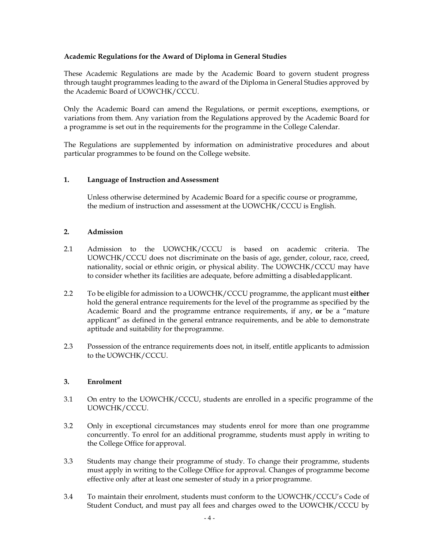## **Academic Regulations for the Award of Diploma in General Studies**

These Academic Regulations are made by the Academic Board to govern student progress through taught programmes leading to the award of the Diploma in General Studies approved by the Academic Board of UOWCHK/CCCU.

Only the Academic Board can amend the Regulations, or permit exceptions, exemptions, or variations from them. Any variation from the Regulations approved by the Academic Board for a programme is set out in the requirements for the programme in the College Calendar.

The Regulations are supplemented by information on administrative procedures and about particular programmes to be found on the College website.

## **1. Language of Instruction and Assessment**

Unless otherwise determined by Academic Board for a specific course or programme, the medium of instruction and assessment at the UOWCHK/CCCU is English.

## **2. Admission**

- 2.1 Admission to the UOWCHK/CCCU is based on academic criteria. The UOWCHK/CCCU does not discriminate on the basis of age, gender, colour, race, creed, nationality, social or ethnic origin, or physical ability. The UOWCHK/CCCU may have to consider whether its facilities are adequate, before admitting a disabled applicant.
- 2.2 To be eligible for admission to a UOWCHK/CCCU programme, the applicant must **either**  hold the general entrance requirements for the level of the programme as specified by the Academic Board and the programme entrance requirements, if any, **or** be a "mature applicant" as defined in the general entrance requirements, and be able to demonstrate aptitude and suitability for the programme.
- 2.3 Possession of the entrance requirements does not, in itself, entitle applicants to admission to the UOWCHK/CCCU.

## **3. Enrolment**

- 3.1 On entry to the UOWCHK/CCCU, students are enrolled in a specific programme of the UOWCHK/CCCU.
- 3.2 Only in exceptional circumstances may students enrol for more than one programme concurrently. To enrol for an additional programme, students must apply in writing to the College Office for approval.
- 3.3 Students may change their programme of study. To change their programme, students must apply in writing to the College Office for approval. Changes of programme become effective only after at least one semester of study in a prior programme.
- 3.4 To maintain their enrolment, students must conform to the UOWCHK/CCCU's Code of Student Conduct, and must pay all fees and charges owed to the UOWCHK/CCCU by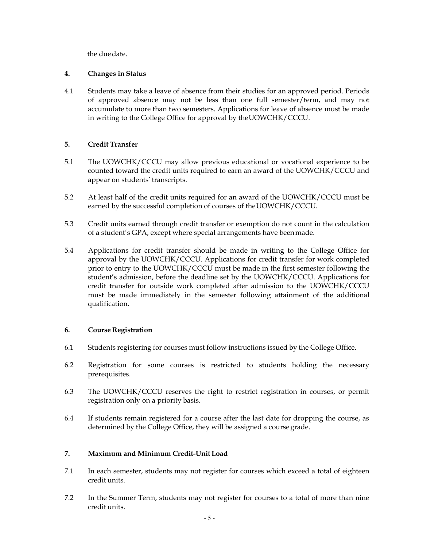the due date.

# **4. Changes in Status**

4.1 Students may take a leave of absence from their studies for an approved period. Periods of approved absence may not be less than one full semester/term, and may not accumulate to more than two semesters. Applications for leave of absence must be made in writing to the College Office for approval by the UOWCHK/CCCU.

# **5. Credit Transfer**

- 5.1 The UOWCHK/CCCU may allow previous educational or vocational experience to be counted toward the credit units required to earn an award of the UOWCHK/CCCU and appear on students' transcripts.
- 5.2 At least half of the credit units required for an award of the UOWCHK/CCCU must be earned by the successful completion of courses of the UOWCHK/CCCU.
- 5.3 Credit units earned through credit transfer or exemption do not count in the calculation of a student's GPA, except where special arrangements have been made.
- 5.4 Applications for credit transfer should be made in writing to the College Office for approval by the UOWCHK/CCCU. Applications for credit transfer for work completed prior to entry to the UOWCHK/CCCU must be made in the first semester following the student's admission, before the deadline set by the UOWCHK/CCCU. Applications for credit transfer for outside work completed after admission to the UOWCHK/CCCU must be made immediately in the semester following attainment of the additional qualification.

# **6. Course Registration**

- 6.1 Students registering for courses must follow instructions issued by the College Office.
- 6.2 Registration for some courses is restricted to students holding the necessary prerequisites.
- 6.3 The UOWCHK/CCCU reserves the right to restrict registration in courses, or permit registration only on a priority basis.
- 6.4 If students remain registered for a course after the last date for dropping the course, as determined by the College Office, they will be assigned a course grade.

# **7. Maximum and Minimum Credit-Unit Load**

- 7.1 In each semester, students may not register for courses which exceed a total of eighteen credit units.
- 7.2 In the Summer Term, students may not register for courses to a total of more than nine credit units.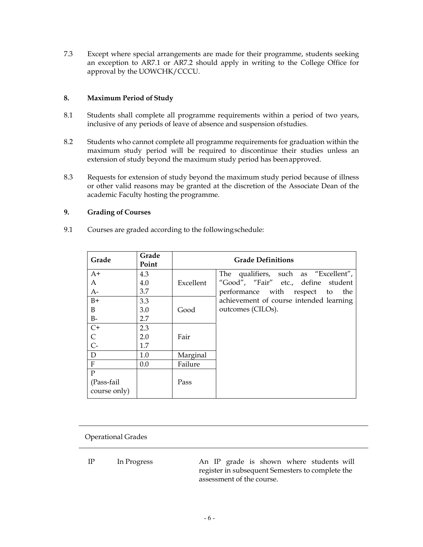7.3 Except where special arrangements are made for their programme, students seeking an exception to AR7.1 or AR7.2 should apply in writing to the College Office for approval by the UOWCHK/CCCU.

## **8. Maximum Period of Study**

- 8.1 Students shall complete all programme requirements within a period of two years, inclusive of any periods of leave of absence and suspension of studies.
- 8.2 Students who cannot complete all programme requirements for graduation within the maximum study period will be required to discontinue their studies unless an extension of study beyond the maximum study period has been approved.
- 8.3 Requests for extension of study beyond the maximum study period because of illness or other valid reasons may be granted at the discretion of the Associate Dean of the academic Faculty hosting the programme.

## **9. Grading of Courses**

9.1 Courses are graded according to the following schedule:

| Grade          | Grade<br>Point |           | <b>Grade Definitions</b>                |
|----------------|----------------|-----------|-----------------------------------------|
| $A+$           | 4.3            |           | The qualifiers, such as "Excellent",    |
| A              | 4.0            | Excellent | "Good", "Fair" etc., define student     |
| $A-$           | 3.7            |           | performance with respect to<br>the      |
| $B+$           | 3.3            |           | achievement of course intended learning |
| B              | 3.0            | Good      | outcomes (CILOs).                       |
| $B-$           | 2.7            |           |                                         |
| $C+$<br>$C-C-$ | 2.3            |           |                                         |
|                | 2.0            | Fair      |                                         |
|                | 1.7            |           |                                         |
| $\mathbf D$    | 1.0            | Marginal  |                                         |
| $\overline{F}$ | 0.0            | Failure   |                                         |
| $\overline{P}$ |                |           |                                         |
| (Pass-fail     |                | Pass      |                                         |
| course only)   |                |           |                                         |

Operational Grades

IP In Progress An IP grade is shown where students will register in subsequent Semesters to complete the assessment of the course.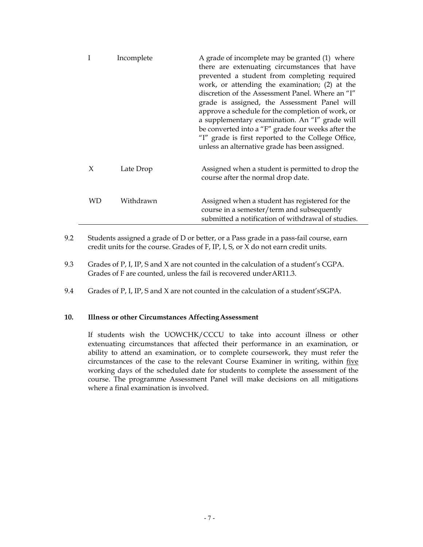| 1   | Incomplete | A grade of incomplete may be granted (1) where<br>there are extenuating circumstances that have<br>prevented a student from completing required<br>work, or attending the examination; (2) at the<br>discretion of the Assessment Panel. Where an "I"<br>grade is assigned, the Assessment Panel will<br>approve a schedule for the completion of work, or<br>a supplementary examination. An "I" grade will<br>be converted into a "F" grade four weeks after the<br>"I" grade is first reported to the College Office,<br>unless an alternative grade has been assigned. |
|-----|------------|----------------------------------------------------------------------------------------------------------------------------------------------------------------------------------------------------------------------------------------------------------------------------------------------------------------------------------------------------------------------------------------------------------------------------------------------------------------------------------------------------------------------------------------------------------------------------|
| X   | Late Drop  | Assigned when a student is permitted to drop the<br>course after the normal drop date.                                                                                                                                                                                                                                                                                                                                                                                                                                                                                     |
| WD. | Withdrawn  | Assigned when a student has registered for the<br>course in a semester/term and subsequently<br>submitted a notification of withdrawal of studies.                                                                                                                                                                                                                                                                                                                                                                                                                         |

- 9.2 Students assigned a grade of D or better, or a Pass grade in a pass-fail course, earn credit units for the course. Grades of F, IP, I, S, or X do not earn credit units.
- 9.3 Grades of P, I, IP, S and X are not counted in the calculation of a student's CGPA. Grades of F are counted, unless the fail is recovered under AR11.3.
- 9.4 Grades of P, I, IP, S and X are not counted in the calculation of a student's SGPA.

### **10. Illness or other Circumstances Affecting Assessment**

If students wish the UOWCHK/CCCU to take into account illness or other extenuating circumstances that affected their performance in an examination, or ability to attend an examination, or to complete coursework, they must refer the circumstances of the case to the relevant Course Examiner in writing, within five working days of the scheduled date for students to complete the assessment of the course. The programme Assessment Panel will make decisions on all mitigations where a final examination is involved.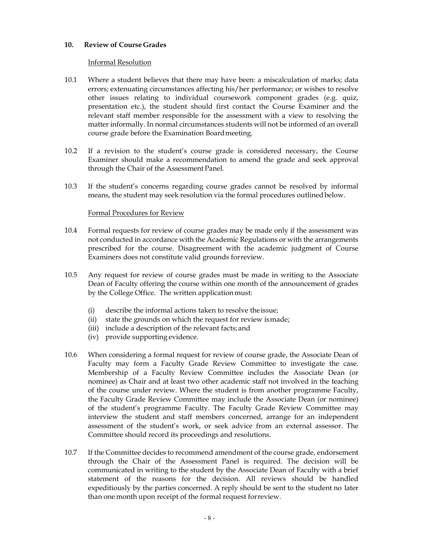### **10. Review of Course Grades**

### Informal Resolution

- 10.1 Where a student believes that there may have been: a miscalculation of marks; data errors; extenuating circumstances affecting his/her performance; or wishes to resolve other issues relating to individual coursework component grades (e.g. quiz, presentation etc.), the student should first contact the Course Examiner and the relevant staff member responsible for the assessment with a view to resolving the matter informally. In normal circumstances students will not be informed of an overall course grade before the Examination Board meeting.
- 10.2 If a revision to the student's course grade is considered necessary, the Course Examiner should make a recommendation to amend the grade and seek approval through the Chair of the Assessment Panel.
- 10.3 If the student's concerns regarding course grades cannot be resolved by informal means, the student may seek resolution via the formal procedures outlined below.

### Formal Procedures for Review

- 10.4 Formal requests for review of course grades may be made only if the assessment was not conducted in accordance with the Academic Regulations or with the arrangements prescribed for the course. Disagreement with the academic judgment of Course Examiners does not constitute valid grounds for review.
- 10.5 Any request for review of course grades must be made in writing to the Associate Dean of Faculty offering the course within one month of the announcement of grades by the College Office. The written application must:
	- (i) describe the informal actions taken to resolve the issue;
	- (ii) state the grounds on which the request for review is made;
	- (iii) include a description of the relevant facts; and
	- (iv) provide supporting evidence.
- 10.6 When considering a formal request for review of course grade, the Associate Dean of Faculty may form a Faculty Grade Review Committee to investigate the case. Membership of a Faculty Review Committee includes the Associate Dean (or nominee) as Chair and at least two other academic staff not involved in the teaching of the course under review. Where the student is from another programme Faculty, the Faculty Grade Review Committee may include the Associate Dean (or nominee) of the student's programme Faculty. The Faculty Grade Review Committee may interview the student and staff members concerned, arrange for an independent assessment of the student's work, or seek advice from an external assessor. The Committee should record its proceedings and resolutions.
- 10.7 If the Committee decides to recommend amendment of the course grade, endorsement through the Chair of the Assessment Panel is required. The decision will be communicated in writing to the student by the Associate Dean of Faculty with a brief statement of the reasons for the decision. All reviews should be handled expeditiously by the parties concerned. A reply should be sent to the student no later than one month upon receipt of the formal request for review.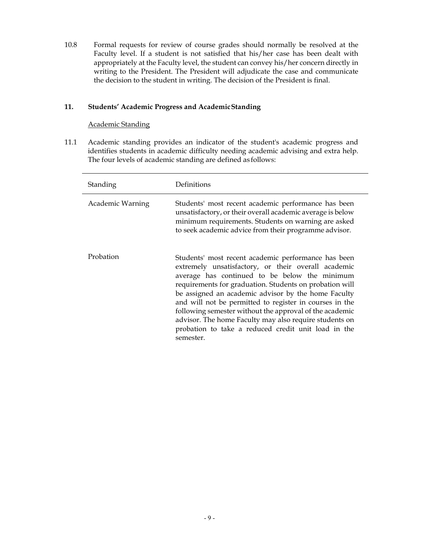10.8 Formal requests for review of course grades should normally be resolved at the Faculty level. If a student is not satisfied that his/her case has been dealt with appropriately at the Faculty level, the student can convey his/her concern directly in writing to the President. The President will adjudicate the case and communicate the decision to the student in writing. The decision of the President is final.

## **11. Students' Academic Progress and Academic Standing**

## Academic Standing

11.1 Academic standing provides an indicator of the student's academic progress and identifies students in academic difficulty needing academic advising and extra help. The four levels of academic standing are defined as follows:

| Standing         | Definitions                                                                                                                                                                                                                                                                                                                                                                                                                                                                                                                       |
|------------------|-----------------------------------------------------------------------------------------------------------------------------------------------------------------------------------------------------------------------------------------------------------------------------------------------------------------------------------------------------------------------------------------------------------------------------------------------------------------------------------------------------------------------------------|
| Academic Warning | Students' most recent academic performance has been<br>unsatisfactory, or their overall academic average is below<br>minimum requirements. Students on warning are asked<br>to seek academic advice from their programme advisor.                                                                                                                                                                                                                                                                                                 |
| Probation        | Students' most recent academic performance has been<br>extremely unsatisfactory, or their overall academic<br>average has continued to be below the minimum<br>requirements for graduation. Students on probation will<br>be assigned an academic advisor by the home Faculty<br>and will not be permitted to register in courses in the<br>following semester without the approval of the academic<br>advisor. The home Faculty may also require students on<br>probation to take a reduced credit unit load in the<br>semester. |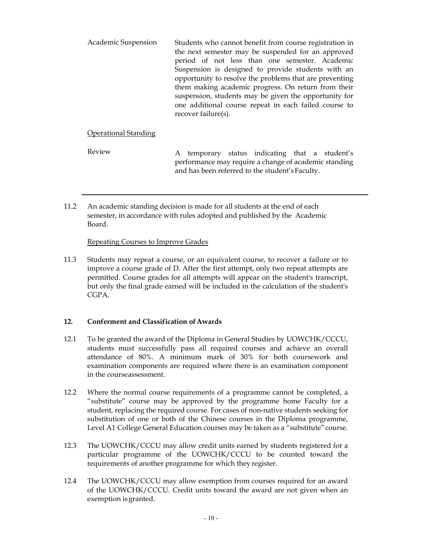| opportunity to resolve the problems that are preventing<br>them making academic progress. On return from their<br>suspension, students may be given the opportunity for<br>one additional course repeat in each failed course to<br>recover failure(s). |
|---------------------------------------------------------------------------------------------------------------------------------------------------------------------------------------------------------------------------------------------------------|
|---------------------------------------------------------------------------------------------------------------------------------------------------------------------------------------------------------------------------------------------------------|

# Operational Standing

Review A temporary status indicating that a student's performance may require a change of academic standing and has been referred to the student'sFaculty.

11.2 An academic standing decision is made for all students at the end of each semester, in accordance with rules adopted and published by the Academic Board.

## Repeating Courses to Improve Grades

11.3 Students may repeat a course, or an equivalent course, to recover a failure or to improve a course grade of D. After the first attempt, only two repeat attempts are permitted. Course grades for all attempts will appear on the student's transcript, but only the final grade earned will be included in the calculation of the student's CGPA.

## **12. Conferment and Classification of Awards**

- 12.1 To be granted the award of the Diploma in General Studies by UOWCHK/CCCU, students must successfully pass all required courses and achieve an overall attendance of 80%. A minimum mark of 30% for both coursework and examination components are required where there is an examination component in the course assessment.
- 12.2 Where the normal course requirements of a programme cannot be completed, a "substitute" course may be approved by the programme home Faculty for a student, replacing the required course. For cases of non-native students seeking for substitution of one or both of the Chinese courses in the Diploma programme, Level A1 College General Education courses may be taken as a "substitute" course.
- 12.3 The UOWCHK/CCCU may allow credit units earned by students registered for a particular programme of the UOWCHK/CCCU to be counted toward the requirements of another programme for which they register.
- 12.4 The UOWCHK/CCCU may allow exemption from courses required for an award of the UOWCHK/CCCU. Credit units toward the award are not given when an exemption is granted.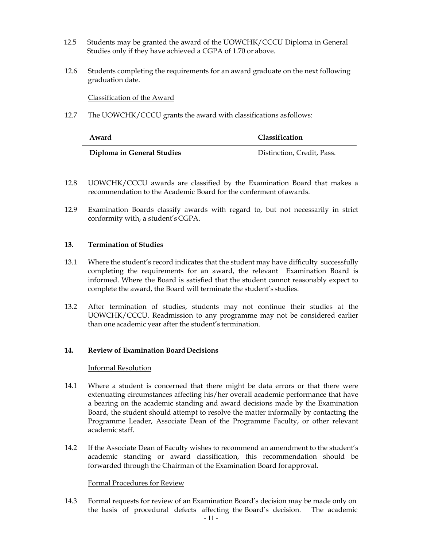- 12.5 Students may be granted the award of the UOWCHK/CCCU Diploma in General Studies only if they have achieved a CGPA of 1.70 or above.
- 12.6 Students completing the requirements for an award graduate on the next following graduation date.

Classification of the Award

12.7 The UOWCHK/CCCU grants the award with classifications as follows:

| Award                      | <b>Classification</b>      |
|----------------------------|----------------------------|
| Diploma in General Studies | Distinction, Credit, Pass. |

- 12.8 UOWCHK/CCCU awards are classified by the Examination Board that makes a recommendation to the Academic Board for the conferment of awards.
- 12.9 Examination Boards classify awards with regard to, but not necessarily in strict conformity with, a student's CGPA.

#### **13. Termination of Studies**

- 13.1 Where the student's record indicates that the student may have difficulty successfully completing the requirements for an award, the relevant Examination Board is informed. Where the Board is satisfied that the student cannot reasonably expect to complete the award, the Board will terminate the student's studies.
- 13.2 After termination of studies, students may not continue their studies at the UOWCHK/CCCU. Readmission to any programme may not be considered earlier than one academic year after the student's termination.

### **14. Review of Examination Board Decisions**

### Informal Resolution

- 14.1 Where a student is concerned that there might be data errors or that there were extenuating circumstances affecting his/her overall academic performance that have a bearing on the academic standing and award decisions made by the Examination Board, the student should attempt to resolve the matter informally by contacting the Programme Leader, Associate Dean of the Programme Faculty, or other relevant academic staff.
- 14.2 If the Associate Dean of Faculty wishes to recommend an amendment to the student's academic standing or award classification, this recommendation should be forwarded through the Chairman of the Examination Board for approval.

### Formal Procedures for Review

14.3 Formal requests for review of an Examination Board's decision may be made only on the basis of procedural defects affecting the Board's decision. The academic